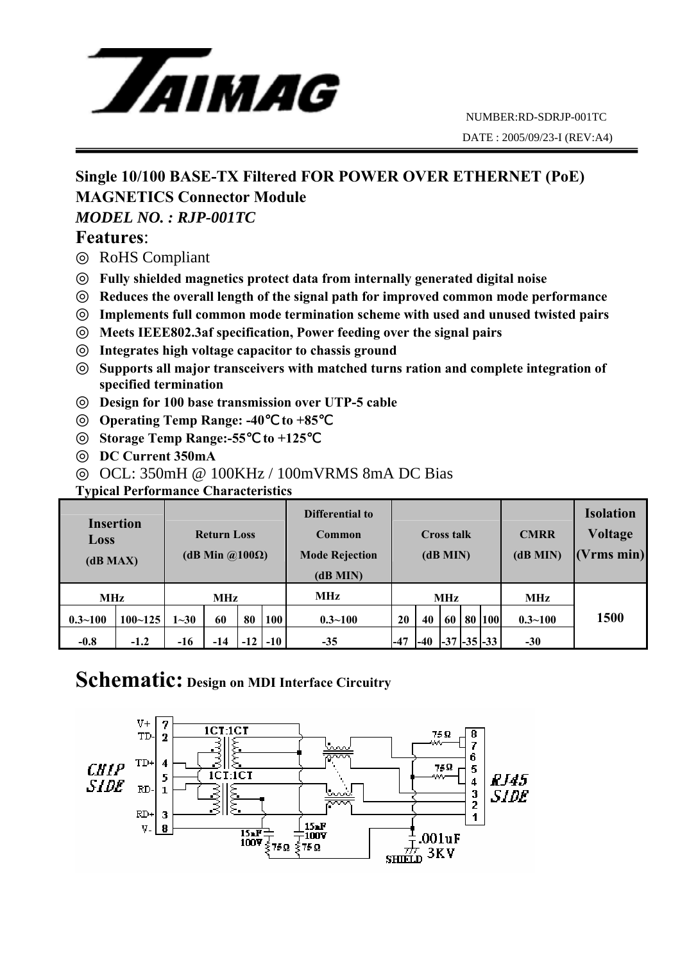

# **Single 10/100 BASE-TX Filtered FOR POWER OVER ETHERNET (PoE) MAGNETICS Connector Module**

### *MODEL NO. : RJP-001TC*

## **Features**:

RoHS Compliant

**Fully shielded magnetics protect data from internally generated digital noise Reduces the overall length of the signal path for improved common mode performance Implements full common mode termination scheme with used and unused twisted pairs Meets IEEE802.3af specification, Power feeding over the signal pairs** 

**Integrates high voltage capacitor to chassis ground** 

**Supports all major transceivers with matched turns ration and complete integration of specified termination** 

**Design for 100 base transmission over UTP-5 cable** 

**Operating Temp Range: -40** to +85

**Storage Temp Range:-55**℃ **to +125** ℃

**DC Current 350mA** 

OCL: 350mH @ 100KHz / 100mVRMS 8mA DC Bias

**Typical Performance Characteristics** 

| <b>Insertion</b><br><b>Loss</b><br>(dB MAX) |             | <b>Return Loss</b><br>(dB Min $\omega$ 100 $\Omega$ ) |       |       |       | Differential to<br>Common<br><b>Mode Rejection</b><br>(dB MIN) | Cross talk<br>(dB MIN) |       |       |  | <b>CMRR</b><br>$(dB$ MIN $)$ | <b>Isolation</b><br><b>Voltage</b><br>Vrms min) |      |
|---------------------------------------------|-------------|-------------------------------------------------------|-------|-------|-------|----------------------------------------------------------------|------------------------|-------|-------|--|------------------------------|-------------------------------------------------|------|
| <b>MHz</b>                                  |             | MHz                                                   |       |       |       | MHz                                                            | <b>MHz</b>             |       |       |  |                              | <b>MHz</b>                                      |      |
| $0.3 - 100$                                 | $100 - 125$ | $1 - 30$                                              | 60    | 80    | 100   | $0.3 - 100$                                                    | 20                     | 40    | 60    |  | 80 100                       | $0.3 - 100$                                     | 1500 |
| $-0.8$                                      | $-1.2$      | $-16$                                                 | $-14$ | $-12$ | $-10$ | $-35$                                                          | $-47$                  | $-40$ | $-37$ |  | $-35$ $-33$                  | $-30$                                           |      |

## **Schematic: Design on MDI Interface Circuitry**

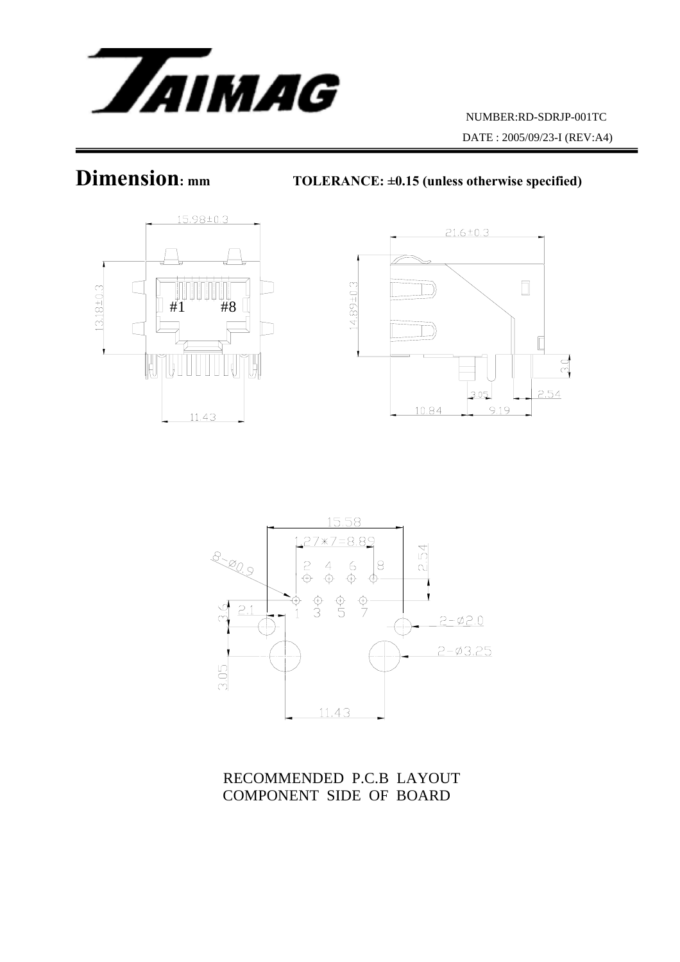

**Dimension:** mm TOLERANCE: ±0.15 (unless otherwise specified)







RECOMMENDED P.C.B LAYOUT COMPONENT SIDE OF BOARD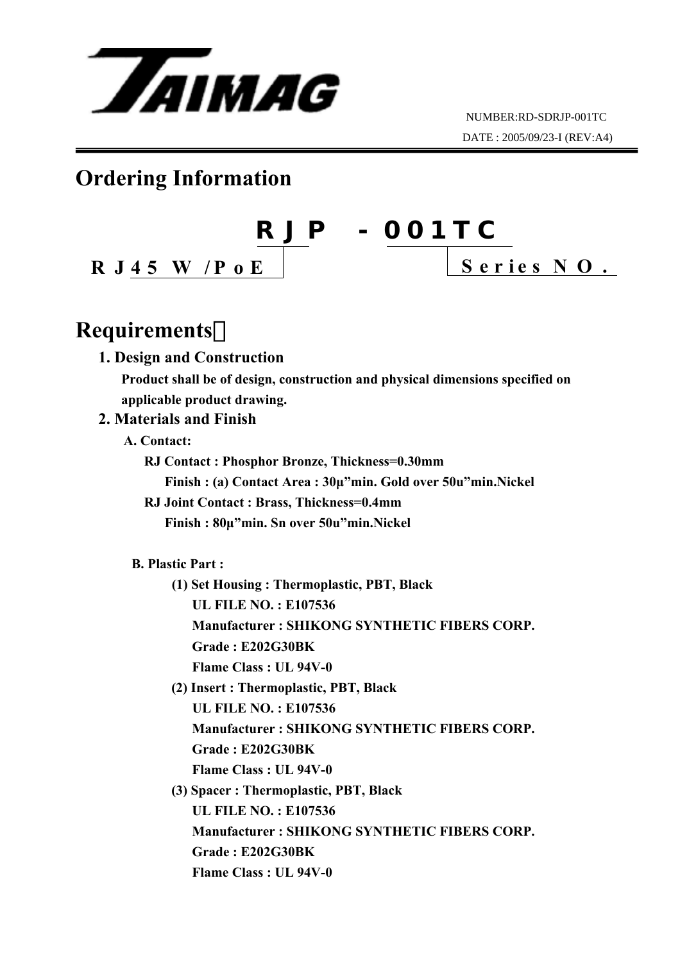

# **Ordering Information**



# **Requirements**:

#### **1. Design and Construction**

 **Product shall be of design, construction and physical dimensions specified on applicable product drawing.** 

## **2. Materials and Finish**

- **A. Contact:** 
	- **RJ Contact : Phosphor Bronze, Thickness=0.30mm** 
		- **Finish : (a) Contact Area : 30µ"min. Gold over 50u"min.Nickel**
	- **RJ Joint Contact : Brass, Thickness=0.4mm Finish : 80µ"min. Sn over 50u"min.Nickel**

#### **B. Plastic Part :**

- **(1) Set Housing : Thermoplastic, PBT, Black UL FILE NO. : E107536 Manufacturer : SHIKONG SYNTHETIC FIBERS CORP. Grade : E202G30BK Flame Class : UL 94V-0**
- **(2) Insert : Thermoplastic, PBT, Black UL FILE NO. : E107536 Manufacturer : SHIKONG SYNTHETIC FIBERS CORP. Grade : E202G30BK Flame Class : UL 94V-0**
- **(3) Spacer : Thermoplastic, PBT, Black UL FILE NO. : E107536 Manufacturer : SHIKONG SYNTHETIC FIBERS CORP. Grade : E202G30BK Flame Class : UL 94V-0**